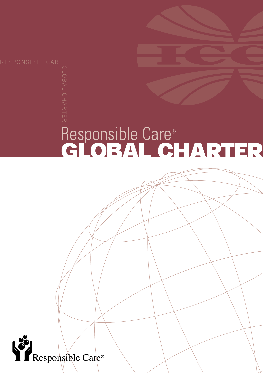GLOBAL CHARTER

# Responsible Care®<br>GLOBAL CHARTER

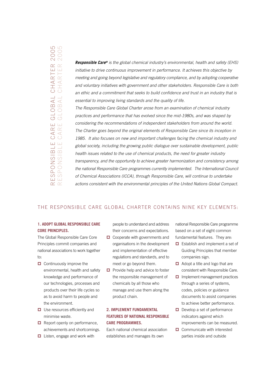*Responsible Care® is the global chemical industry's environmental, health and safety (EHS) initiative to drive continuous improvement in performance. It achieves this objective by meeting and going beyond legislative and regulatory compliance, and by adopting cooperative and voluntary initiatives with government and other stakeholders. Responsible Care is both an ethic and a commitment that seeks to build confidence and trust in an industry that is essential to improving living standards and the quality of life.*

*The Responsible Care Global Charter arose from an examination of chemical industry practices and performance that has evolved since the mid-1980s, and was shaped by considering the recommendations of independent stakeholders from around the world. The Charter goes beyond the original elements of Responsible Care since its inception in 1985. It also focuses on new and important challenges facing the chemical industry and global society, including the growing public dialogue over sustainable development, public health issues related to the use of chemical products, the need for greater industry transparency, and the opportunity to achieve greater harmonization and consistency among the national Responsible Care programmes currently implemented. The International Council of Chemical Associations (ICCA), through Responsible Care, will continue to undertake actions consistent with the environmental principles of the United Nations Global Compact.* **Responsible Care<sup>s</sup>** is the global chemical industry's environmental, health and safety (EHS)<br>  $\frac{1}{2}C \leq \frac{1}{2}C$  metring and going beyond legislative and regulatory complance. An division for the simulation of charmi

### **1. ADOPT GLOBAL RESPONSIBLE CARE CORE PRINCIPLES.**

The Global Responsible Care Core Principles commit companies and national associations to work together to:

- $\Box$  Continuously improve the environmental, health and safety knowledge and performance of our technologies, processes and products over their life cycles so as to avoid harm to people and the environment.
- **□** Use resources efficiently and minimise waste.
- $\Box$  Report openly on performance, achievements and shortcomings.
- **□** Listen, engage and work with

people to understand and address their concerns and expectations.

- $\Box$  Cooperate with governments and organisations in the development and implementation of effective regulations and standards, and to meet or go beyond them.
- $\Box$  Provide help and advice to foster the responsible management of chemicals by all those who manage and use them along the product chain.

## **2. IMPLEMENT FUNDAMENTAL FEATURES OF NATIONAL RESPONSIBLE CARE PROGRAMMES.**

Each national chemical association establishes and manages its own

national Responsible Care programme based on a set of eight common fundamental features. They are:

- $\Box$  Establish and implement a set of Guiding Principles that member companies sign.
- Adopt a title and logo that are consistent with Responsible Care.
- $\Box$  Implement management practices through a series of systems, codes, policies or guidance documents to assist companies to achieve better performance.
- $\Box$  Develop a set of performance indicators against which improvements can be measured.
- $\Box$  Communicate with interested parties inside and outside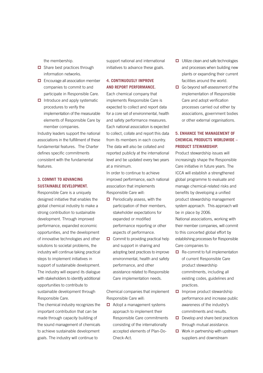the membership.

- $\Box$  Share best practices through information networks.
- **Encourage all association member** companies to commit to and participate in Responsible Care.
- $\Box$  Introduce and apply systematic procedures to verify the implementation of the measurable elements of Responsible Care by member companies.

Industry leaders support the national associations in the fulfillment of these fundamental features. The Charter defines specific commitments consistent with the fundamental features.

### **3. COMMIT TO ADVANCING SUSTAINABLE DEVELOPMENT.**

Responsible Care is a uniquely designed initiative that enables the global chemical industry to make a strong contribution to sustainable development. Through improved performance, expanded economic opportunities, and the development of innovative technologies and other solutions to societal problems, the industry will continue taking practical steps to implement initiatives in support of sustainable development. The industry will expand its dialogue with stakeholders to identify additional opportunities to contribute to sustainable development through Responsible Care.

The chemical industry recognizes the important contribution that can be made through capacity building of the sound management of chemicals to achieve sustainable development goals. The industry will continue to

support national and international initiatives to advance these goals.

### **4. CONTINUOUSLY IMPROVE AND REPORT PERFORMANCE.**

Each chemical company that implements Responsible Care is expected to collect and report data for a core set of environmental, health and safety performance measures. Each national association is expected to collect, collate and report this data from its members in each country. The data will also be collated and reported publicly at the international level and be updated every two years at a minimum.

In order to continue to achieve improved performance, each national association that implements Responsible Care will:

- $\Box$  Periodically assess, with the participation of their members, stakeholder expectations for expanded or modified performance reporting or other aspects of performance.
- $\Box$  Commit to providing practical help and support in sharing and adopting best practices to improve environmental, health and safety performance, and other assistance related to Responsible Care implementation needs.

Chemical companies that implement Responsible Care will:

**□** Adopt a management systems approach to implement their Responsible Care commitments consisting of the internationally accepted elements of Plan-Do-Check-Act.

- **Utilize clean and safe technologies** and processes when building new plants or expanding their current facilities around the world.
- Go beyond self-assessment of the implementation of Responsible Care and adopt verification processes carried out either by associations, government bodies or other external organisations.

### **5. ENHANCE THE MANAGEMENT OF CHEMICAL PRODUCTS WORLDWIDE – PRODUCT STEWARDSHIP.**

Product stewardship issues will increasingly shape the Responsible Care initiative in future years. The ICCA will establish a strengthened global programme to evaluate and manage chemical-related risks and benefits by developing a unified product stewardship management system approach. This approach will be in place by 2006.

National associations, working with their member companies, will commit to this concerted global effort by establishing processes for Responsible Care companies to:

- $\Box$  Re-commit to full implementation of current Responsible Care product stewardship commitments, including all existing codes, guidelines and practices.
- $\Box$  Improve product stewardship performance and increase public awareness of the industry's commitments and results.
- $\Box$  Develop and share best practices through mutual assistance.
- $\Box$  Work in partnership with upstream suppliers and downstream